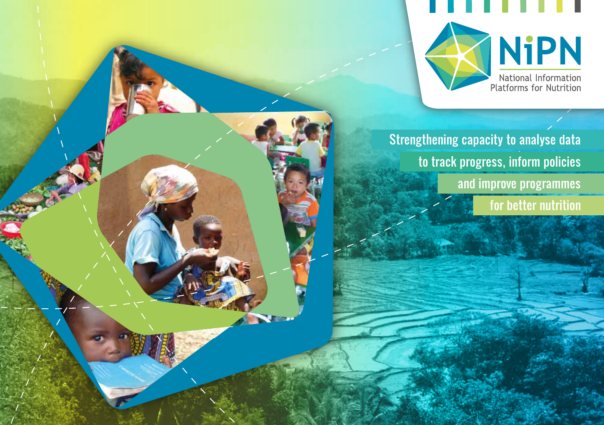

**NiPN** National Information<br>Platforms for Nutrition

Strengthening capacity to analyse data to track progress, inform policies and improve programmes for better nutrition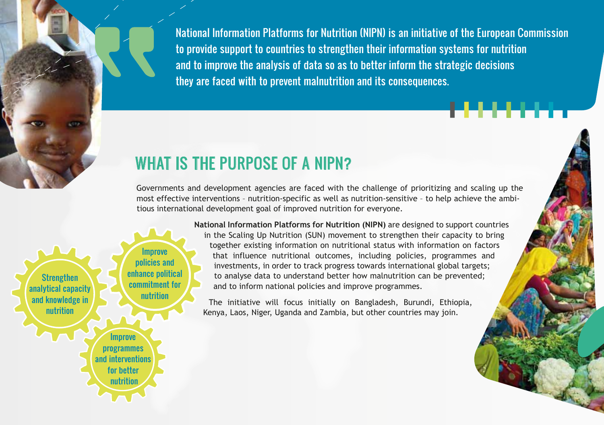National Information Platforms for Nutrition (NIPN) is an initiative of the European Commission to provide support to countries to strengthen their information systems for nutrition and to improve the analysis of data so as to better inform the strategic decisions they are faced with to prevent malnutrition and its consequences.

### WHAT IS THE PURPOSE OF A NIPN?

Governments and development agencies are faced with the challenge of prioritizing and scaling up the most effective interventions – nutrition-specific as well as nutrition-sensitive – to help achieve the ambitious international development goal of improved nutrition for everyone.

**Strengthen** analytical capacity and knowledge in nutrition Improve policies and enhance political commitment for nutrition **Improve** programmes and interventions for better nutrition

**National Information Platforms for Nutrition (NIPN)** are designed to support countries in the Scaling Up Nutrition (SUN) movement to strengthen their capacity to bring together existing information on nutritional status with information on factors that influence nutritional outcomes, including policies, programmes and investments, in order to track progress towards international global targets; to analyse data to understand better how malnutrition can be prevented; and to inform national policies and improve programmes.

The initiative will focus initially on Bangladesh, Burundi, Ethiopia, Kenya, Laos, Niger, Uganda and Zambia, but other countries may join.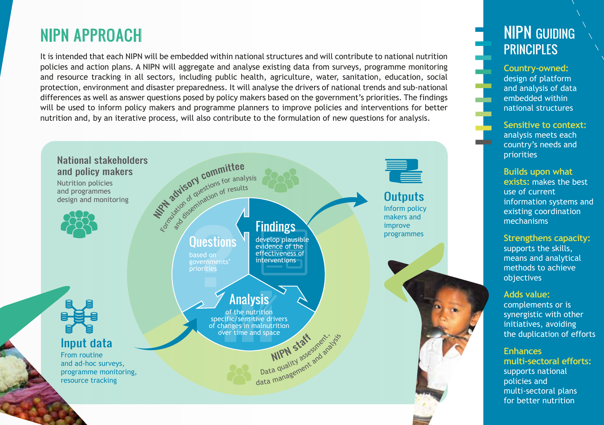## NIPN APPROACH

It is intended that each NIPN will be embedded within national structures and will contribute to national nutrition policies and action plans. A NIPN will aggregate and analyse existing data from surveys, programme monitoring and resource tracking in all sectors, including public health, agriculture, water, sanitation, education, social protection, environment and disaster preparedness. It will analyse the drivers of national trends and sub-national differences as well as answer questions posed by policy makers based on the government's priorities. The findings will be used to inform policy makers and programme planners to improve policies and interventions for better nutrition and, by an iterative process, will also contribute to the formulation of new questions for analysis.



### NIPN GUIDING **PRINCIPLES**

**Country-owned:** design of platform and analysis of data embedded within national structures

**Sensitive to context:** analysis meets each country's needs and priorities

**Builds upon what exists:** makes the best use of current information systems and existing coordination mechanisms

**Strengthens capacity:**  supports the skills, means and analytical methods to achieve objectives

**Adds value:**  complements or is synergistic with other initiatives, avoiding the duplication of efforts

**Enhances multi-sectoral efforts:** supports national policies and multi-sectoral plans for better nutrition